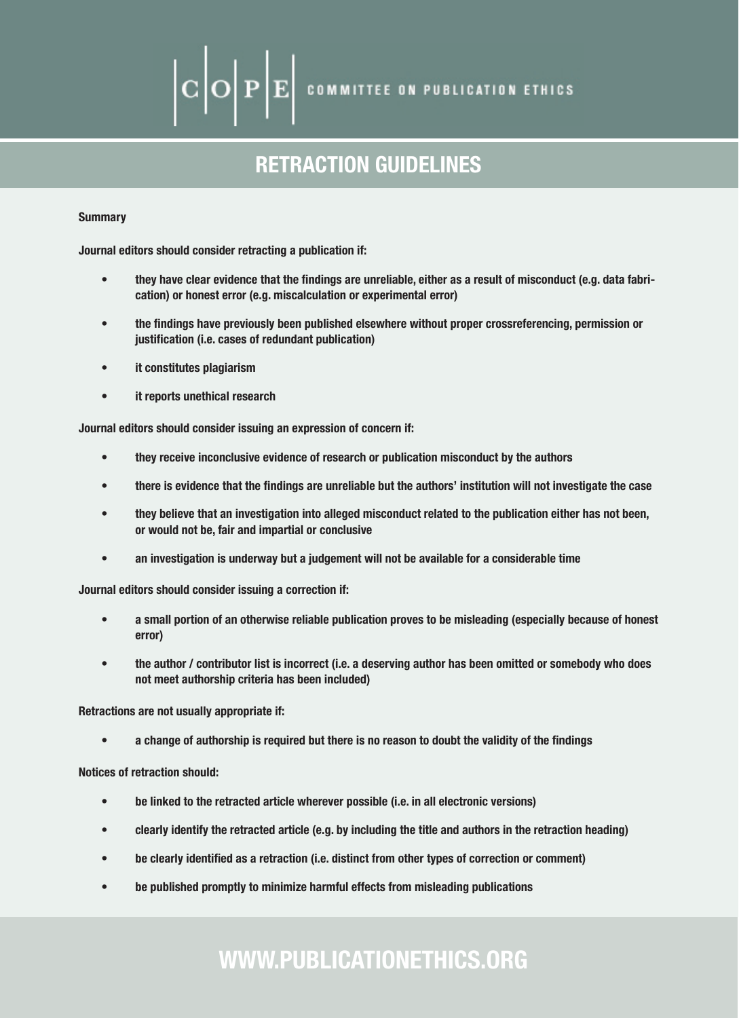$\mathbf{C} \left| \mathbf{O} \right| \mathbf{P} \left| \mathbf{E} \right|$  committee on publication ethics

### RETRACTION GUIDELINES

### **Summarv**

Journal editors should consider retracting a publication if:

- • they have clear evidence that the findings are unreliable, either as a result of misconduct (e.g. data fabrication) or honest error (e.g. miscalculation or experimental error)
- • the findings have previously been published elsewhere without proper crossreferencing, permission or justification (i.e. cases of redundant publication)
- • it constitutes plagiarism
- • it reports unethical research

Journal editors should consider issuing an expression of concern if:

- they receive inconclusive evidence of research or publication misconduct by the authors
- there is evidence that the findings are unreliable but the authors' institution will not investigate the case
- • they believe that an investigation into alleged misconduct related to the publication either has not been, or would not be, fair and impartial or conclusive
- an investigation is underway but a judgement will not be available for a considerable time

Journal editors should consider issuing a correction if:

- • a small portion of an otherwise reliable publication proves to be misleading (especially because of honest error)
- the author / contributor list is incorrect (i.e. a deserving author has been omitted or somebody who does not meet authorship criteria has been included)

Retractions are not usually appropriate if:

• a change of authorship is required but there is no reason to doubt the validity of the findings

Notices of retraction should:

- be linked to the retracted article wherever possible (i.e. in all electronic versions)
- • clearly identify the retracted article (e.g. by including the title and authors in the retraction heading)
- be clearly identified as a retraction (i.e. distinct from other types of correction or comment)
- be published promptly to minimize harmful effects from misleading publications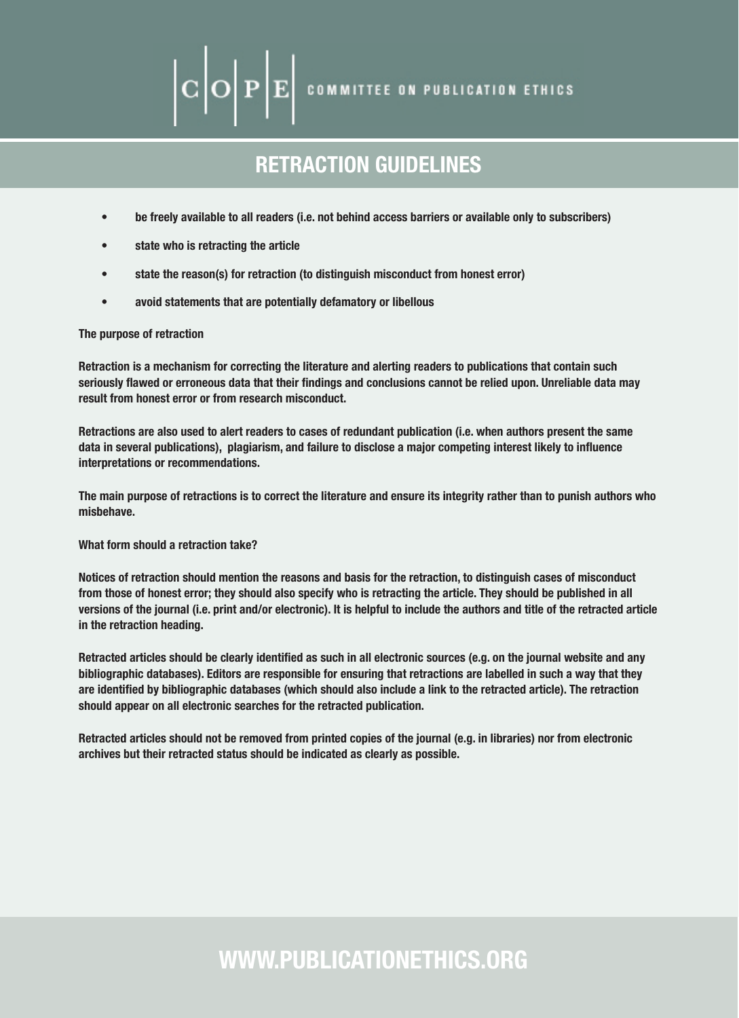- be freely available to all readers (i.e. not behind access barriers or available only to subscribers)
- • state who is retracting the article
- state the reason(s) for retraction (to distinguish misconduct from honest error)
- • avoid statements that are potentially defamatory or libellous

#### The purpose of retraction

Retraction is a mechanism for correcting the literature and alerting readers to publications that contain such seriously flawed or erroneous data that their findings and conclusions cannot be relied upon. Unreliable data may result from honest error or from research misconduct.

Retractions are also used to alert readers to cases of redundant publication (i.e. when authors present the same data in several publications), plagiarism, and failure to disclose a major competing interest likely to influence interpretations or recommendations.

The main purpose of retractions is to correct the literature and ensure its integrity rather than to punish authors who misbehave.

### What form should a retraction take?

Notices of retraction should mention the reasons and basis for the retraction, to distinguish cases of misconduct from those of honest error; they should also specify who is retracting the article. They should be published in all versions of the journal (i.e. print and/or electronic). It is helpful to include the authors and title of the retracted article in the retraction heading.

Retracted articles should be clearly identified as such in all electronic sources (e.g. on the journal website and any bibliographic databases). Editors are responsible for ensuring that retractions are labelled in such a way that they are identified by bibliographic databases (which should also include a link to the retracted article). The retraction should appear on all electronic searches for the retracted publication.

Retracted articles should not be removed from printed copies of the journal (e.g. in libraries) nor from electronic archives but their retracted status should be indicated as clearly as possible.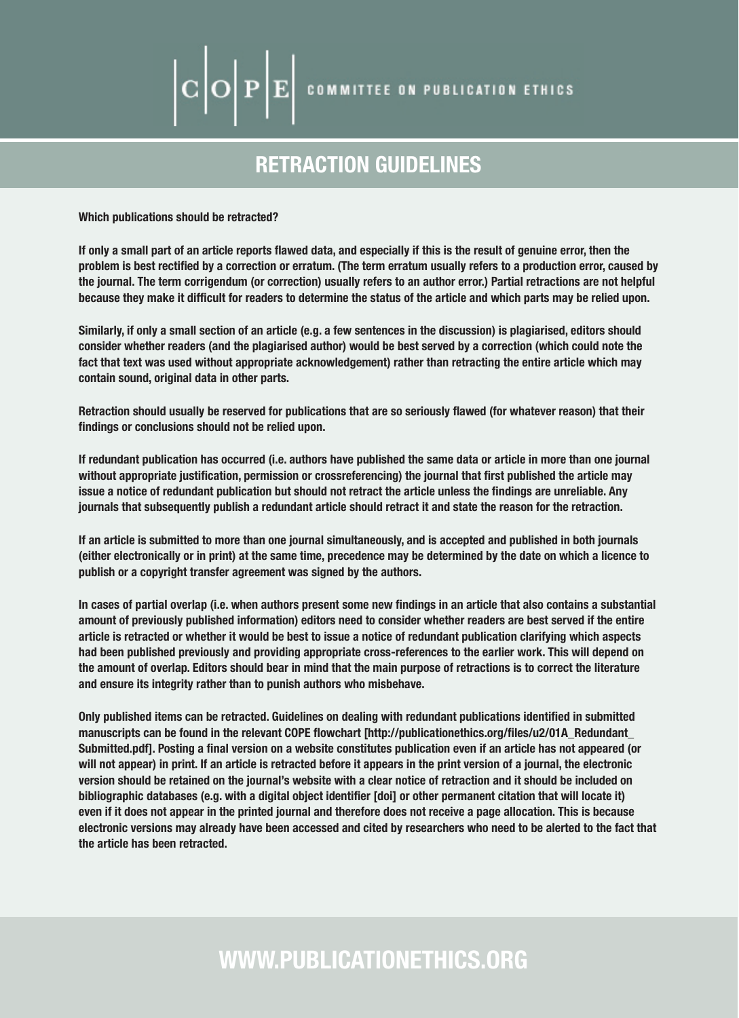Which publications should be retracted?

If only a small part of an article reports flawed data, and especially if this is the result of genuine error, then the problem is best rectified by a correction or erratum. (The term erratum usually refers to a production error, caused by the journal. The term corrigendum (or correction) usually refers to an author error.) Partial retractions are not helpful because they make it difficult for readers to determine the status of the article and which parts may be relied upon.

Similarly, if only a small section of an article (e.g. a few sentences in the discussion) is plagiarised, editors should consider whether readers (and the plagiarised author) would be best served by a correction (which could note the fact that text was used without appropriate acknowledgement) rather than retracting the entire article which may contain sound, original data in other parts.

Retraction should usually be reserved for publications that are so seriously flawed (for whatever reason) that their findings or conclusions should not be relied upon.

If redundant publication has occurred (i.e. authors have published the same data or article in more than one journal without appropriate justification, permission or crossreferencing) the journal that first published the article may issue a notice of redundant publication but should not retract the article unless the findings are unreliable. Any journals that subsequently publish a redundant article should retract it and state the reason for the retraction.

If an article is submitted to more than one journal simultaneously, and is accepted and published in both journals (either electronically or in print) at the same time, precedence may be determined by the date on which a licence to publish or a copyright transfer agreement was signed by the authors.

In cases of partial overlap (i.e. when authors present some new findings in an article that also contains a substantial amount of previously published information) editors need to consider whether readers are best served if the entire article is retracted or whether it would be best to issue a notice of redundant publication clarifying which aspects had been published previously and providing appropriate cross-references to the earlier work. This will depend on the amount of overlap. Editors should bear in mind that the main purpose of retractions is to correct the literature and ensure its integrity rather than to punish authors who misbehave.

Only published items can be retracted. Guidelines on dealing with redundant publications identified in submitted manuscripts can be found in the relevant COPE flowchart [[http://publicationethics.org/files/u2/01A\\_Redundant\\_](http://publicationethics.org/files/u2/01A_Redundant_Submitted.pdf) [Submitted.pdf](http://publicationethics.org/files/u2/01A_Redundant_Submitted.pdf)]. Posting a final version on a website constitutes publication even if an article has not appeared (or will not appear) in print. If an article is retracted before it appears in the print version of a journal, the electronic version should be retained on the journal's website with a clear notice of retraction and it should be included on bibliographic databases (e.g. with a digital object identifier [doi] or other permanent citation that will locate it) even if it does not appear in the printed journal and therefore does not receive a page allocation. This is because electronic versions may already have been accessed and cited by researchers who need to be alerted to the fact that the article has been retracted.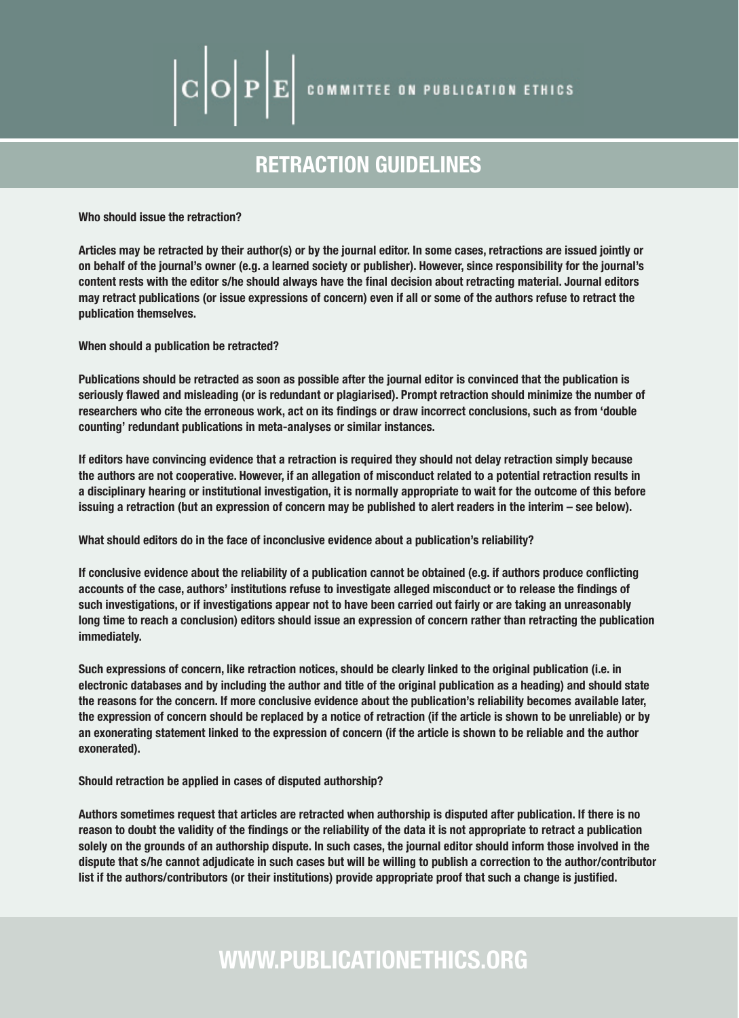Who should issue the retraction?

Articles may be retracted by their author(s) or by the journal editor. In some cases, retractions are issued jointly or on behalf of the journal's owner (e.g. a learned society or publisher). However, since responsibility for the journal's content rests with the editor s/he should always have the final decision about retracting material. Journal editors may retract publications (or issue expressions of concern) even if all or some of the authors refuse to retract the publication themselves.

When should a publication be retracted?

Publications should be retracted as soon as possible after the journal editor is convinced that the publication is seriously flawed and misleading (or is redundant or plagiarised). Prompt retraction should minimize the number of researchers who cite the erroneous work, act on its findings or draw incorrect conclusions, such as from 'double counting' redundant publications in meta-analyses or similar instances.

If editors have convincing evidence that a retraction is required they should not delay retraction simply because the authors are not cooperative. However, if an allegation of misconduct related to a potential retraction results in a disciplinary hearing or institutional investigation, it is normally appropriate to wait for the outcome of this before issuing a retraction (but an expression of concern may be published to alert readers in the interim – see below).

What should editors do in the face of inconclusive evidence about a publication's reliability?

If conclusive evidence about the reliability of a publication cannot be obtained (e.g. if authors produce conflicting accounts of the case, authors' institutions refuse to investigate alleged misconduct or to release the findings of such investigations, or if investigations appear not to have been carried out fairly or are taking an unreasonably long time to reach a conclusion) editors should issue an expression of concern rather than retracting the publication immediately.

Such expressions of concern, like retraction notices, should be clearly linked to the original publication (i.e. in electronic databases and by including the author and title of the original publication as a heading) and should state the reasons for the concern. If more conclusive evidence about the publication's reliability becomes available later, the expression of concern should be replaced by a notice of retraction (if the article is shown to be unreliable) or by an exonerating statement linked to the expression of concern (if the article is shown to be reliable and the author exonerated).

Should retraction be applied in cases of disputed authorship?

Authors sometimes request that articles are retracted when authorship is disputed after publication. If there is no reason to doubt the validity of the findings or the reliability of the data it is not appropriate to retract a publication solely on the grounds of an authorship dispute. In such cases, the journal editor should inform those involved in the dispute that s/he cannot adjudicate in such cases but will be willing to publish a correction to the author/contributor list if the authors/contributors (or their institutions) provide appropriate proof that such a change is justified.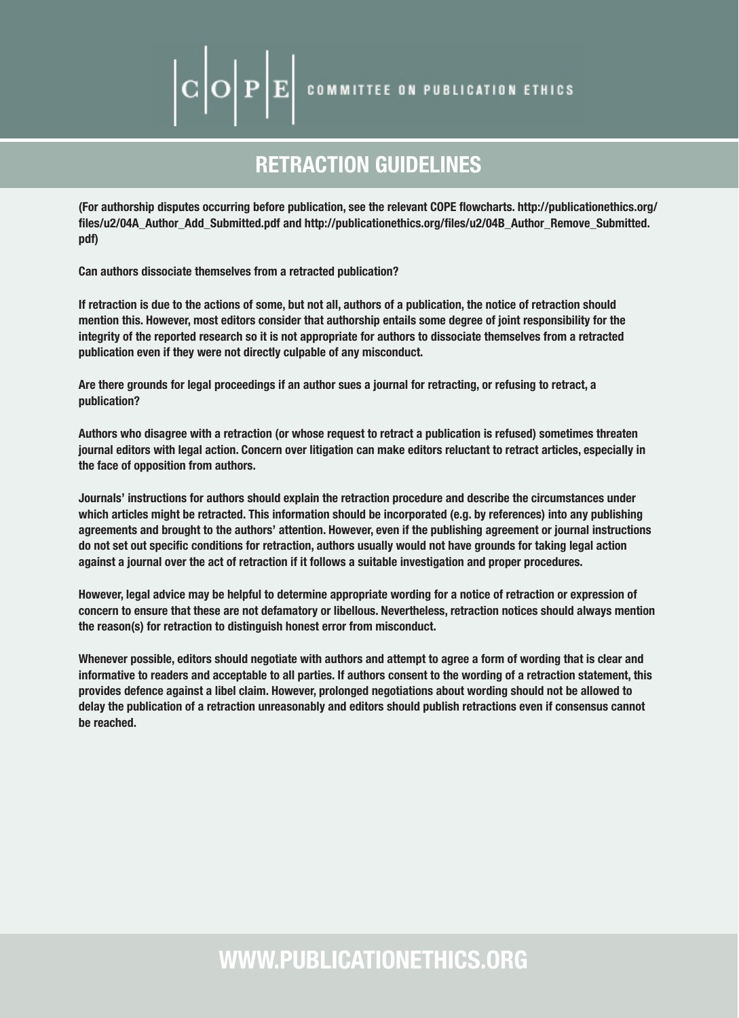(For authorship disputes occurring before publication, see the relevant COPE flowcharts. [http://publicationethics.org/](http://publicationethics.org/files/u2/04A_Author_Add_Submitted.pdf) [files/u2/04A\\_Author\\_Add\\_Submitted.pdf](http://publicationethics.org/files/u2/04A_Author_Add_Submitted.pdf) and [http://publicationethics.org/files/u2/04B\\_Author\\_Remove\\_Submitted.](http://publicationethics.org/files/u2/04B_Author_Remove_Submitted.pdf) [pdf\)](http://publicationethics.org/files/u2/04B_Author_Remove_Submitted.pdf)

Can authors dissociate themselves from a retracted publication?

If retraction is due to the actions of some, but not all, authors of a publication, the notice of retraction should mention this. However, most editors consider that authorship entails some degree of joint responsibility for the integrity of the reported research so it is not appropriate for authors to dissociate themselves from a retracted publication even if they were not directly culpable of any misconduct.

Are there grounds for legal proceedings if an author sues a journal for retracting, or refusing to retract, a publication?

Authors who disagree with a retraction (or whose request to retract a publication is refused) sometimes threaten journal editors with legal action. Concern over litigation can make editors reluctant to retract articles, especially in the face of opposition from authors.

Journals' instructions for authors should explain the retraction procedure and describe the circumstances under which articles might be retracted. This information should be incorporated (e.g. by references) into any publishing agreements and brought to the authors' attention. However, even if the publishing agreement or journal instructions do not set out specific conditions for retraction, authors usually would not have grounds for taking legal action against a journal over the act of retraction if it follows a suitable investigation and proper procedures.

However, legal advice may be helpful to determine appropriate wording for a notice of retraction or expression of concern to ensure that these are not defamatory or libellous. Nevertheless, retraction notices should always mention the reason(s) for retraction to distinguish honest error from misconduct.

Whenever possible, editors should negotiate with authors and attempt to agree a form of wording that is clear and informative to readers and acceptable to all parties. If authors consent to the wording of a retraction statement, this provides defence against a libel claim. However, prolonged negotiations about wording should not be allowed to delay the publication of a retraction unreasonably and editors should publish retractions even if consensus cannot be reached.